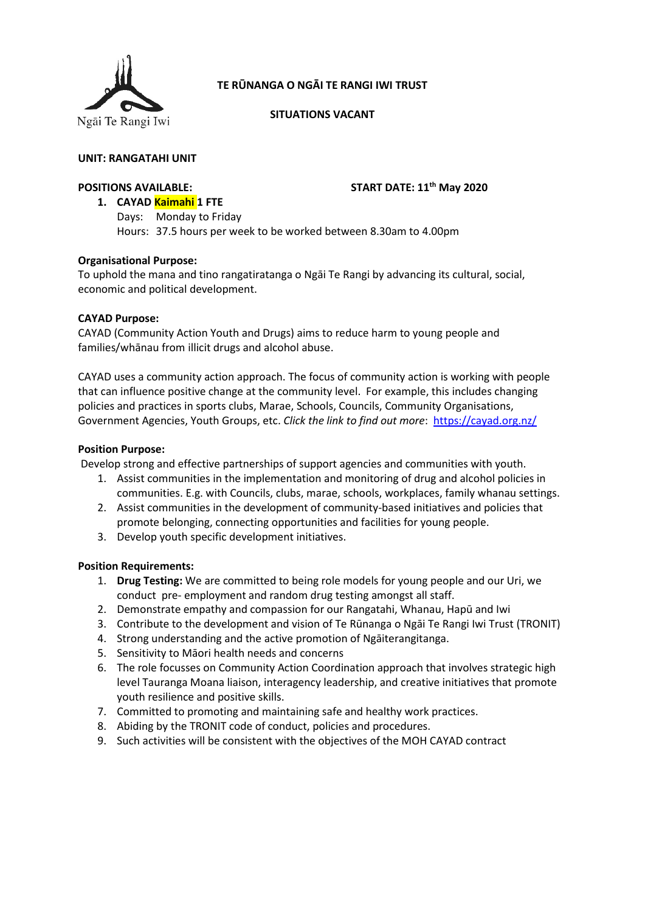

# **TE RŪNANGA O NGĀI TE RANGI IWI TRUST**

**SITUATIONS VACANT**

# **UNIT: RANGATAHI UNIT**

## **POSITIONS AVAILABLE: START DATE: 11th May 2020**

**1. CAYAD Kaimahi 1 FTE** Days: Monday to Friday Hours: 37.5 hours per week to be worked between 8.30am to 4.00pm

## **Organisational Purpose:**

To uphold the mana and tino rangatiratanga o Ngāi Te Rangi by advancing its cultural, social, economic and political development.

## **CAYAD Purpose:**

CAYAD (Community Action Youth and Drugs) aims to reduce harm to young people and families/whānau from illicit drugs and alcohol abuse.

CAYAD uses a community action approach. The focus of community action is working with people that can influence positive change at the community level. For example, this includes changing policies and practices in sports clubs, Marae, Schools, Councils, Community Organisations, Government Agencies, Youth Groups, etc. *Click the link to find out more*: <https://cayad.org.nz/>

#### **Position Purpose:**

Develop strong and effective partnerships of support agencies and communities with youth.

- 1. Assist communities in the implementation and monitoring of drug and alcohol policies in communities. E.g. with Councils, clubs, marae, schools, workplaces, family whanau settings.
- 2. Assist communities in the development of community-based initiatives and policies that promote belonging, connecting opportunities and facilities for young people.
- 3. Develop youth specific development initiatives.

## **Position Requirements:**

- 1. **Drug Testing:** We are committed to being role models for young people and our Uri, we conduct pre- employment and random drug testing amongst all staff.
- 2. Demonstrate empathy and compassion for our Rangatahi, Whanau, Hapū and Iwi
- 3. Contribute to the development and vision of Te Rūnanga o Ngāi Te Rangi Iwi Trust (TRONIT)
- 4. Strong understanding and the active promotion of Ngāiterangitanga.
- 5. Sensitivity to Māori health needs and concerns
- 6. The role focusses on Community Action Coordination approach that involves strategic high level Tauranga Moana liaison, interagency leadership, and creative initiatives that promote youth resilience and positive skills.
- 7. Committed to promoting and maintaining safe and healthy work practices.
- 8. Abiding by the TRONIT code of conduct, policies and procedures.
- 9. Such activities will be consistent with the objectives of the MOH CAYAD contract